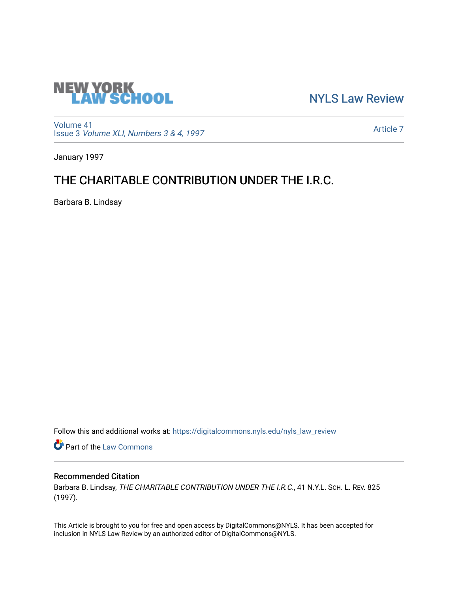

[NYLS Law Review](https://digitalcommons.nyls.edu/nyls_law_review) 

[Volume 41](https://digitalcommons.nyls.edu/nyls_law_review/vol41) Issue 3 [Volume XLI, Numbers 3 & 4, 1997](https://digitalcommons.nyls.edu/nyls_law_review/vol41/iss3)

[Article 7](https://digitalcommons.nyls.edu/nyls_law_review/vol41/iss3/7) 

January 1997

## THE CHARITABLE CONTRIBUTION UNDER THE I.R.C.

Barbara B. Lindsay

Follow this and additional works at: [https://digitalcommons.nyls.edu/nyls\\_law\\_review](https://digitalcommons.nyls.edu/nyls_law_review?utm_source=digitalcommons.nyls.edu%2Fnyls_law_review%2Fvol41%2Fiss3%2F7&utm_medium=PDF&utm_campaign=PDFCoverPages) 

**Part of the [Law Commons](https://network.bepress.com/hgg/discipline/578?utm_source=digitalcommons.nyls.edu%2Fnyls_law_review%2Fvol41%2Fiss3%2F7&utm_medium=PDF&utm_campaign=PDFCoverPages)** 

## Recommended Citation

Barbara B. Lindsay, THE CHARITABLE CONTRIBUTION UNDER THE I.R.C., 41 N.Y.L. SCH. L. REV. 825 (1997).

This Article is brought to you for free and open access by DigitalCommons@NYLS. It has been accepted for inclusion in NYLS Law Review by an authorized editor of DigitalCommons@NYLS.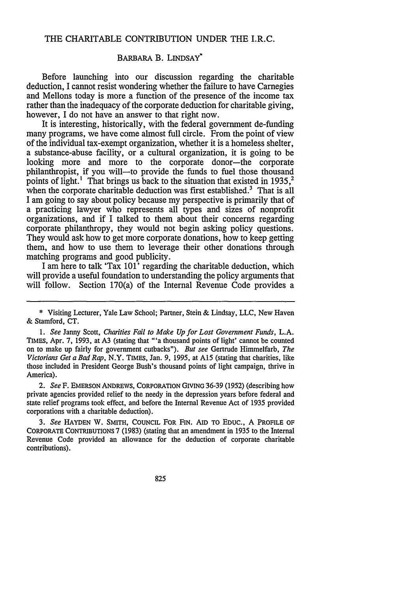## THE CHARITABLE CONTRIBUTION UNDER THE I.R.C.

## BARBARA B. LINDSAY'

Before launching into our discussion regarding the charitable deduction, I cannot resist wondering whether the failure to have Carnegies and Mellons today is more a function of the presence of the income tax rather than the inadequacy of the corporate deduction for charitable giving, however, I do not have an answer to that right now.

It is interesting, historically, with the federal government de-funding many programs, we have come almost full circle. From the point of view of the individual tax-exempt organization, whether it is a homeless shelter, a substance-abuse facility, or a cultural organization, it is going to be looking more and more to the corporate donor-the corporate philanthropist, if you will-to provide the funds to fuel those thousand points of light.<sup>1</sup> That brings us back to the situation that existed in 1935,<sup>2</sup> when the corporate charitable deduction was first established.<sup>3</sup> That is all **I** am going to say about policy because my perspective is primarily that of a practicing lawyer who represents all types and sizes of nonprofit organizations, and if I talked to them about their concerns regarding corporate philanthropy, they would not begin asking policy questions. They would ask how to get more corporate donations, how to keep getting them, and how to use them to leverage their other donations through matching programs and good publicity.

I am here to talk 'Tax 101' regarding the charitable deduction, which will provide a useful foundation to understanding the policy arguments that will follow. Section 170(a) of the Internal Revenue Code provides a

*2. See* F. EMERSON ANDREWS, CORPORATION GIVING 36-39 (1952) (describing how private agencies provided relief to the needy in the depression years before federal and state relief programs took effect, and before the Internal Revenue Act of 1935 provided corporations with a charitable deduction).

*3. See* **HAYDEN** W. SMITH, COUNCIL FOR FIN. **AID** TO EDUC., A PROFILE OF CORPORATE CONTRIBUTIONS 7 (1983) (stating that an amendment in 1935 to the Internal Revenue Code provided an allowance for the deduction of corporate charitable contributions).

<sup>\*</sup> Visiting Lecturer, Yale Law School; Partner, Stein & Lindsay, LLC, New Haven & Stamford, **CT.**

*<sup>1.</sup> See* Janny Scott, *Charities Fail to Make Up for Lost Government Funds,* **L.A.** TIMES, Apr. **7,** 1993, at A3 (stating that "'a thousand points of light' cannot be counted on to make up fairly for government cutbacks"). *But see* Gertrude Himmelfarb, *The Victorians Get a Bad Rap,* N.Y. TIMES, Jan. 9, 1995, at **A15** (stating that charities, like those included in President George Bush's thousand points of light campaign, thrive in America).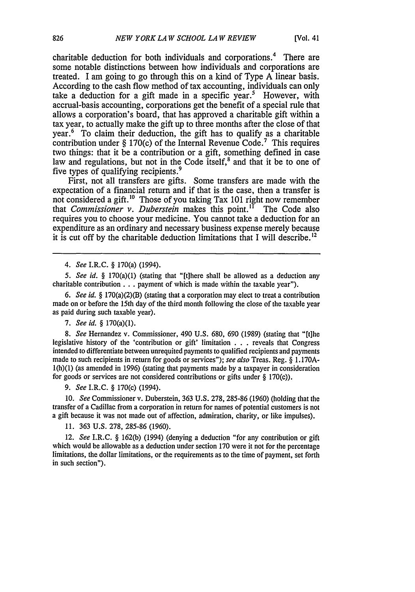charitable deduction for both individuals and corporations.<sup>4</sup> There are some notable distinctions between how individuals and corporations are treated. I am going to go through this on a kind of Type A linear basis. According to the cash flow method of tax accounting, individuals can only take a deduction for a gift made in a specific year.<sup>5</sup> However, with accrual-basis accounting, corporations get the benefit of a special rule that allows a corporation's board, that has approved a charitable gift within a tax year, to actually make the gift up to three months after the close of that year.' To claim their deduction, the gift has to qualify as a charitable contribution under § 170(c) of the Internal Revenue Code.<sup>7</sup> This requires two things: that it be a contribution or a gift, something defined in case law and regulations, but not in the Code itself,<sup>8</sup> and that it be to one of five types of qualifying recipients. <sup>9</sup>

First, not all transfers are gifts. Some transfers are made with the expectation of a financial return and if that is the case, then a transfer is not considered a gift.<sup>10</sup> Those of you taking Tax 101 right now remember that *Commissioner v. Duberstein* makes this point." The Code also requires you to choose your medicine. You cannot take a deduction for an expenditure as an ordinary and necessary business expense merely because it is cut off by the charitable deduction limitations that I will describe.<sup>12</sup>

*4. See* I.R.C. § 170(a) (1994).

*5. See id.* § 170(a)(1) (stating that "[t]here shall be allowed as a deduction any charitable contribution **...** payment of which is made within the taxable year").

*6. See id.* § 170(a)(2)(B) (stating that a corporation may elect to treat a contribution made on or before the 15th day of the third month following the close of the taxable year as paid during such taxable year).

*7. See id.* § 170(a)(1).

*8. See* Hernandez v. Commissioner, 490 U.S. 680, 690 (1989) (stating that "[tihe legislative history of the 'contribution or gift' limitation . . . reveals that Congress intended to differentiate between unrequited payments to qualified recipients and payments made to such recipients in return for goods or services"); see also Treas. Reg. § 1.170A-1(h)(1) (as amended in 1996) (stating that payments made by a taxpayer in consideration for goods or services are not considered contributions or gifts under § 170(c)).

*9. See* I.R.C. § 170(c) (1994).

10. *See* Commissioner v. Duberstein, 363 U.S. 278, 285-86 (1960) (holding that the transfer of a Cadillac from a corporation in return for names of potential customers is not a gift because it was not made out of affection, admiration, charity, or like impulses).

11. 363 U.S. 278, 285-86 (1960).

12. *See* I.R.C. § 162(b) (1994) (denying a deduction "for any contribution or gift which would be allowable as a deduction under section 170 were it not for the percentage limitations, the dollar limitations, or the requirements as to the time of payment, set forth in such section").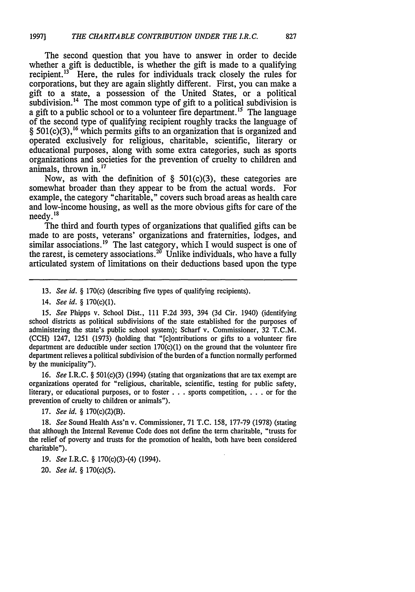The second question that you have to answer in order to decide whether a gift is deductible, is whether the gift is made to a qualifying recipient. $13$  Here, the rules for individuals track closely the rules for corporations, but they are again slightly different. First, you can make a gift to a state, a possession of the United States, or a political subdivision.<sup>14</sup> The most common type of gift to a political subdivision is a gift to a public school or to a volunteer fire department.<sup>15</sup> The language of the second type of qualifying recipient roughly tracks the language of  $§$  501(c)(3),<sup>16</sup> which permits gifts to an organization that is organized and operated exclusively for religious, charitable, scientific, literary or educational purposes, along with some extra categories, such as sports organizations and societies for the prevention of cruelty to children and animals, thrown in.'<sup>7</sup>

Now, as with the definition of  $\S$  501(c)(3), these categories are somewhat broader than they appear to be from the actual words. For example, the category "charitable," covers such broad areas as health care and low-income housing, as well as the more obvious gifts for care of the needy.<sup>18</sup>

The third and fourth types of organizations that qualified gifts can be made to are posts, veterans' organizations and fraternities, lodges, and similar associations.<sup>19</sup> The last category, which I would suspect is one of the rarest, is cemetery associations.<sup>20</sup> Unlike individuals, who have a fully articulated system of limitations on their deductions based upon the type

14. *See id.* § 170(c)(1).

15. *See* Phipps v. School Dist., 111 F.2d 393, 394 (3d Cir. 1940) (identifying school districts as political subdivisions of the state established for the purposes of administering the state's public school system); Scharf v. Commissioner, 32 T.C.M. (CCH) 1247, 1251 (1973) (holding that "[c]ontributions or gifts to a volunteer fire department are deductible under section  $170(c)(1)$  on the ground that the volunteer fire department relieves a political subdivision of the burden of a function normally performed by the municipality").

16. *See* I.R.C. § 501(c)(3) (1994) (stating that organizations that are tax exempt are organizations operated for "religious, charitable, scientific, testing for public safety, literary, or educational purposes, or to foster  $\ldots$  sports competition,  $\ldots$  or for the prevention of cruelty to children or animals").

17. *See id.* § 170(c)(2)(B).

18. *See* Sound Health Ass'n v. Commissioner, 71 T.C. 158, 177-79 (1978) (stating that although the Internal Revenue Code does not define the term charitable, "trusts for the relief of poverty and trusts for the promotion of health, both have been considered charitable").

19. *See* I.R.C. § 170(c)(3)-(4) (1994).

20. *See id.* § 170(c)(5).

<sup>13.</sup> *See id.* § 170(c) (describing five types of qualifying recipients).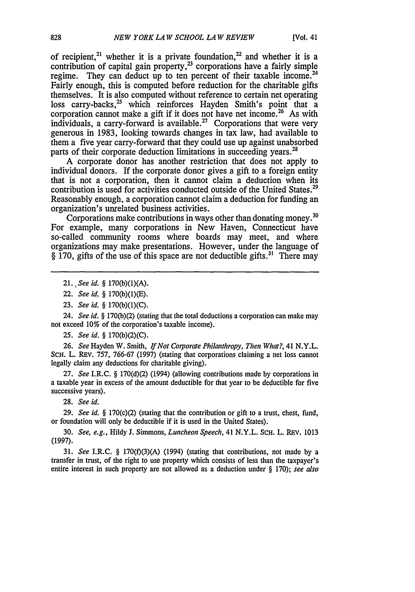of recipient,<sup>21</sup> whether it is a private foundation,<sup>22</sup> and whether it is a contribution of capital gain property,<sup>23</sup> corporations have a fairly simple regime. They can deduct up to ten percent of their taxable income.<sup>24</sup> Fairly enough, this is computed before reduction for the charitable gifts themselves. It is also computed without reference to certain net operating loss carry-backs, $25$  which reinforces Hayden Smith's point that a corporation cannot make a gift if it does not have net income.<sup>26</sup> As with individuals, a carry-forward is available.<sup>27</sup> Corporations that were very generous in 1983, looking towards changes in tax law, had available to them a five year carry-forward that they could use up against unabsorbed parts of their corporate deduction limitations in succeeding years.<sup>28</sup>

A corporate donor has another restriction that does not apply to individual donors. If the corporate donor gives a gift to a foreign entity that is not a corporation, then it cannot claim a deduction when its contribution is used for activities conducted outside of the United States.<sup>29</sup> Reasonably enough, a corporation cannot claim a deduction for funding an organization's unrelated business activities.

Corporations make contributions in ways other than donating money.<sup>30</sup> For example, many corporations in New Haven, Connecticut have so-called community rooms where boards may meet, and where organizations may make presentations. However, under the language of  $\S$  170, gifts of the use of this space are not deductible gifts.<sup>31</sup> There may

24. *See id.* § 170(b)(2) (stating that the total deductions a corporation can make may not exceed 10% of the corporation's taxable income).

*25. See id.* § 170(b)(2)(C).

26. *See* Hayden W. Smith, *If Not Corporate Philanthropy, Then What?,* 41 N.Y.L. ScH. L. REv. 757, 766-67 (1997) (stating that corporations claiming a net loss cannot legally claim any deductions for charitable giving).

27. *See* I.R.C. § 170(d)(2) (1994) (allowing contributions made by corporations in a taxable year in excess of the amount deductible for that year to be deductible for five successive years).

28. *See id.*

29. *See id.* § 170(c)(2) (stating that the contribution or gift to a trust, chest, fund, or foundation will only be deductible if it is used in the United States).

30. *See, e.g.*, Hildy J. Simmons, *Luncheon Speech*, 41 N.Y.L. SCH. L. REV. 1013 (1997).

31. *See* I.R.C. § 170(f)(3)(A) (1994) (stating that contributions, not made by a transfer in trust, of the right to use property which consists of less than the taxpayer's entire interest in such property are not allowed as a deduction under § 170); *see also*

<sup>21.,</sup> *See id.* § 170(b)(1)(A).

<sup>22.</sup> *See id.* § 170(b)(1)(E).

<sup>23.</sup> *See id.* § 170(b)(1)(C).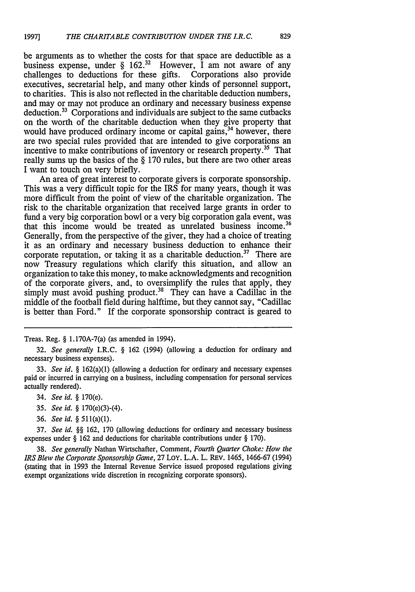be arguments as to whether the costs for that space are deductible as a business expense, under  $\S$  162.<sup>32</sup> However, I am not aware of any challenges to deductions for these gifts. Corporations also provide challenges to deductions for these gifts. executives, secretarial help, and many other kinds of personnel support, to charities. This is also not reflected in the charitable deduction numbers, and may or may not produce an ordinary and necessary business expense deduction.<sup>33</sup> Corporations and individuals are subject to the same cutbacks on the worth of the charitable deduction when they give property that would have produced ordinary income or capital gains,<sup>34</sup> however, there are two special rules provided that are intended to give corporations an incentive to make contributions of inventory or research property.<sup>35</sup> That really sums up the basics of the § 170 rules, but there are two other areas I want to touch on very briefly.

An area of great interest to corporate givers is corporate sponsorship. This was a very difficult topic for the IRS for many years, though it was more difficult from the point of view of the charitable organization. The risk to the charitable organization that received large grants in order to fund a very big corporation bowl or a very big corporation gala event, was that this income would be treated as unrelated business income.<sup>36</sup> Generally, from the perspective of the giver, they had a choice of treating it as an ordinary and necessary business deduction to enhance their corporate reputation, or taking it as a charitable deduction.<sup>37</sup> There are now Treasury regulations which clarify this situation, and allow an organization to take this money, to make acknowledgments and recognition of the corporate givers, and, to oversimplify the rules that apply, they simply must avoid pushing product.<sup>38</sup> They can have a Cadillac in the middle of the football field during halftime, but they cannot say, "Cadillac is better than Ford." If the corporate sponsorship contract is geared to

Treas. Reg. **§** 1.170A-7(a) (as amended in 1994).

- 33. *See id.* **§** 162(a)(1) (allowing a deduction for ordinary and necessary expenses paid or incurred in carrying on a business, including compensation for personal services actually rendered).
	- 34. *See id.* **§** 170(e).
	- *35. See id.* **§** 170(e)(3)-(4).
	- 36. *See id. §* 511(a)(1).

37. *See id. §§* 162, 170 (allowing deductions for ordinary and necessary business expenses under **§** 162 and deductions for charitable contributions under **§** 170).

38. *See generally* Nathan Wirtschafter, Comment, *Fourth Quarter Choke: How the IRS Blew the Corporate Sponsorship Game,* 27 LoY. L.A. L. REV. 1465, 1466-67 (1994) (stating that in 1993 the Internal Revenue Service issued proposed regulations giving exempt organizations wide discretion in recognizing corporate sponsors).

<sup>32.</sup> *See generally* I.R.C. **§** 162 (1994) (allowing a deduction for ordinary and necessary business expenses).